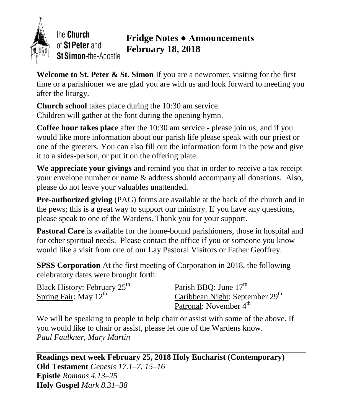

the Church of St Peter and St Simon-the-Apostle

# **Fridge Notes ● Announcements February 18, 2018**

**Welcome to St. Peter & St. Simon** If you are a newcomer, visiting for the first time or a parishioner we are glad you are with us and look forward to meeting you after the liturgy.

**Church school** takes place during the 10:30 am service. Children will gather at the font during the opening hymn.

**Coffee hour takes place** after the 10:30 am service - please join us; and if you would like more information about our parish life please speak with our priest or one of the greeters. You can also fill out the information form in the pew and give it to a sides-person, or put it on the offering plate.

**We appreciate your givings** and remind you that in order to receive a tax receipt your envelope number or name & address should accompany all donations. Also, please do not leave your valuables unattended.

**Pre-authorized giving** (PAG) forms are available at the back of the church and in the pews; this is a great way to support our ministry. If you have any questions, please speak to one of the Wardens. Thank you for your support.

**Pastoral Care** is available for the home-bound parishioners, those in hospital and for other spiritual needs. Please contact the office if you or someone you know would like a visit from one of our Lay Pastoral Visitors or Father Geoffrey.

**SPSS Corporation** At the first meeting of Corporation in 2018, the following celebratory dates were brought forth:

Black History: February 25<sup>th</sup> Spring Fair: May 12<sup>th</sup>

Parish BBO: June 17<sup>th</sup> Caribbean Night: September 29<sup>th</sup> Patronal: November 4<sup>th</sup>

We will be speaking to people to help chair or assist with some of the above. If you would like to chair or assist, please let one of the Wardens know. *Paul Faulkner, Mary Martin*

**Readings next week February 25, 2018 Holy Eucharist (Contemporary) Old Testament** *Genesis 17.1–7, 15–16* **Epistle** *Romans 4.13–25* **Holy Gospel** *Mark 8.31–38*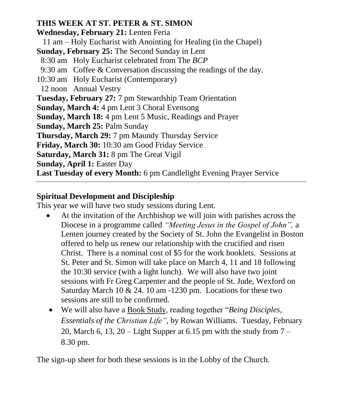#### **THIS WEEK AT ST. PETER & ST. SIMON**

**Wednesday, February 21:** Lenten Feria

11 am – Holy Eucharist with Anointing for Healing (in the Chapel)

**Sunday, February 25:** The Second Sunday in Lent

- 8:30 am Holy Eucharist celebrated from The *BCP*
- 9:30 am Coffee & Conversation discussing the readings of the day.
- 10:30 am Holy Eucharist (Contemporary)
- 12 noonAnnual Vestry

**Tuesday, February 27:** 7 pm Stewardship Team Orientation

**Sunday, March 4:** 4 pm Lent 3 Choral Evensong

**Sunday, March 18:** 4 pm Lent 5 Music, Readings and Prayer

**Sunday, March 25:** Palm Sunday

**Thursday, March 29:** 7 pm Maundy Thursday Service

**Friday, March 30:** 10:30 am Good Friday Service

**Saturday, March 31:** 8 pm The Great Vigil

**Sunday, April 1:** Easter Day

**Last Tuesday of every Month:** 6 pm Candlelight Evening Prayer Service

## **Spiritual Development and Discipleship**

This year we will have two study sessions during Lent.

- At the invitation of the Archbishop we will join with parishes across the Diocese in a programme called *"Meeting Jesus in the Gospel of John",* a Lenten journey created by the Society of St. John the Evangelist in Boston offered to help us renew our relationship with the crucified and risen Christ. There is a nominal cost of \$5 for the work booklets. Sessions at St. Peter and St. Simon will take place on March 4, 11 and 18 following the 10:30 service (with a light lunch). We will also have two joint sessions with Fr Greg Carpenter and the people of St. Jude, Wexford on Saturday March 10 & 24. 10 am -1230 pm. Locations for these two sessions are still to be confirmed.
- We will also have a Book Study, reading together "*Being Disciples, Essentials of the Christian Life"*, by Rowan Williams. Tuesday, February 20, March 6, 13, 20 – Light Supper at 6.15 pm with the study from  $7 -$ 8.30 pm.

The sign-up sheet for both these sessions is in the Lobby of the Church.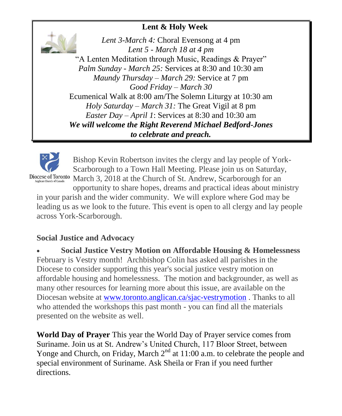### **Lent & Holy Week**

*Lent 3-March 4:* Choral Evensong at 4 pm *Lent 5 - March 18 at 4 pm* "A Lenten Meditation through Music, Readings & Prayer" *Palm Sunday - March 25:* Services at 8:30 and 10:30 am *Maundy Thursday – March 29:* Service at 7 pm *Good Friday – March 30* Ecumenical Walk at 8:00 am/The Solemn Liturgy at 10:30 am *Holy Saturday – March 31:* The Great Vigil at 8 pm *Easter Day – April 1*: Services at 8:30 and 10:30 am *We will welcome the Right Reverend Michael Bedford-Jones to celebrate and preach.*



Bishop Kevin Robertson invites the clergy and lay people of York-Scarborough to a Town Hall Meeting. Please join us on Saturday, Diocese of Toronto March 3, 2018 at the Church of St. Andrew, Scarborough for an

opportunity to share hopes, dreams and practical ideas about ministry in your parish and the wider community. We will explore where God may be leading us as we look to the future. This event is open to all clergy and lay people across York-Scarborough.

#### **Social Justice and Advocacy**

 **Social Justice Vestry Motion on Affordable Housing & Homelessness** February is Vestry month! Archbishop Colin has asked all parishes in the Diocese to consider supporting this year's social justice vestry motion on affordable housing and homelessness. The motion and backgrounder, as well as many other resources for learning more about this issue, are available on the Diocesan website at [www.toronto.anglican.ca/sjac-vestrymotion](http://r20.rs6.net/tn.jsp?f=001Ekn5tszf_3PgAvMWrMwZ1haq9u_Jdv1rjh_60zqlAkrknY8VrhIl2_FHRXvvneMHTWU4QOFjpfUn3NCRARSC4bkLBv1fzkk7pVpUbOkhMDJox6sj6p5ceeOFMAlDnq_HqSLY8xT7RC45WynQdDH369JhwtTYdqLPQSjWJWQl6GqXiX0gALlOb1H4Ot7Zst8wx49ZMOFtPys=&c=A0AdZXVKigjeWe-XQ8bUjRhm9brRAF9eD_QN5zFKwoHHAUv9iZuW4w==&ch=VXbPTBvDqz2WGGsVAcgdE3i0ovmJS0jaLI8XmkuHSsCeZUQPrLxIuA==) . Thanks to all who attended the workshops this past month - you can find all the materials presented on the website as well.

**World Day of Prayer** This year the World Day of Prayer service comes from Suriname. Join us at St. Andrew's United Church, 117 Bloor Street, between Yonge and Church, on Friday, March  $2<sup>nd</sup>$  at 11:00 a.m. to celebrate the people and special environment of Suriname. Ask Sheila or Fran if you need further directions.